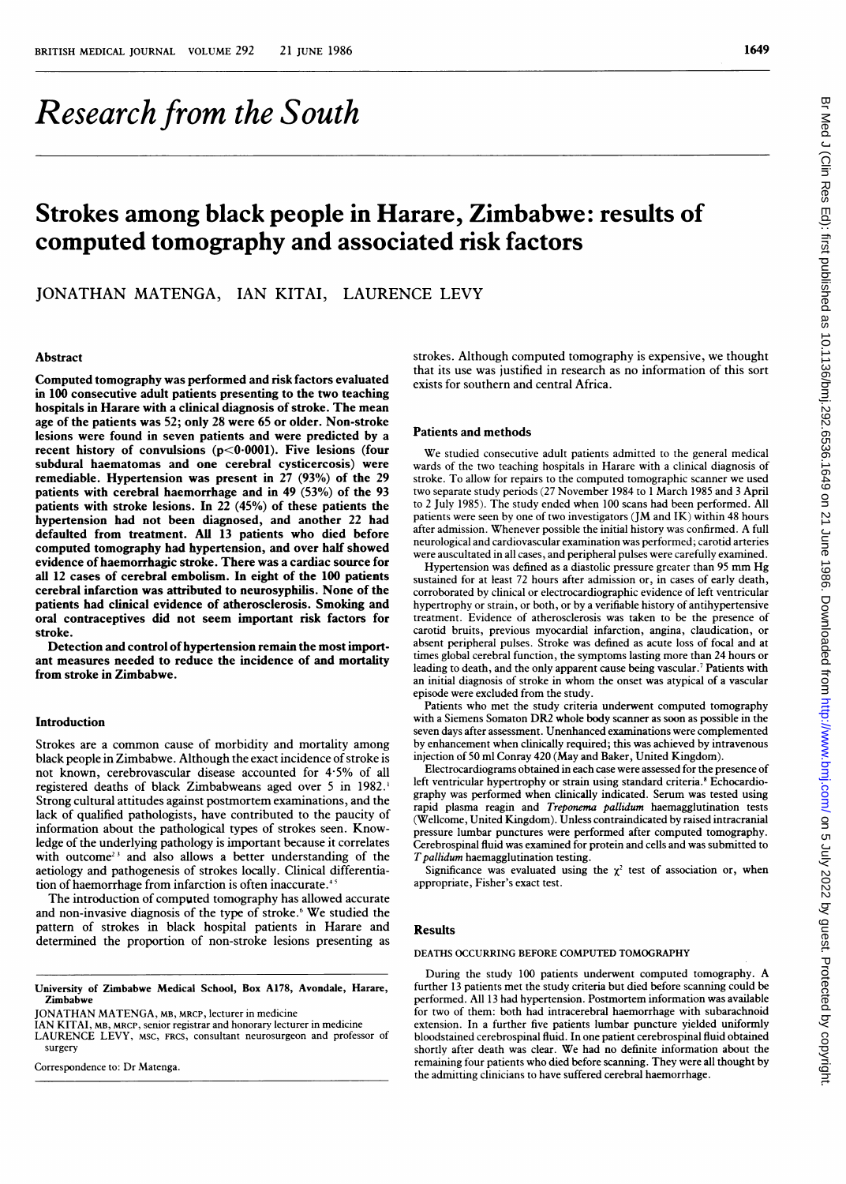# Research from the South

# Strokes among black people in Harare, Zimbabwe: results of computed tomography and associated risk factors

JONATHAN MATENGA, IAN KITAI, LAURENCE LEVY

#### Abstract

Computed tomography was performed and risk factors evaluated in 100 consecutive adult patients presenting to the two teaching hospitals in Harare with a clinical diagnosis of stroke. The mean age of the patients was 52; only 28 were 65 or older. Non-stroke lesions were found in seven patients and were predicted by a recent history of convulsions (p<0-0001). Five lesions (four subdural haematomas and one cerebral cysticercosis) were remediable. Hypertension was present in 27 (93%) of the 29 patients with cerebral haemorrhage and in 49 (53%) of the 93 patients with stroke lesions. In 22 (45%) of these patients the hypertension had not been diagnosed, and another 22 had defaulted from treatment. AU 13 patients who died before computed tomography had hypertension, and over half showed evidence of haemorrhagic stroke. There was a cardiac source for all 12 cases of cerebral embolism. In eight of the 100 patients cerebral infarction was attributed to neurosyphilis. None of the patients had clinical evidence of atherosclerosis. Smoking and oral contraceptives did not seem important risk factors for stroke.

Detection and control of hypertension remain the most important measures needed to reduce the incidence of and mortality from stroke in Zimbabwe.

## Introduction

Strokes are <sup>a</sup> common cause of morbidity and mortality among black people in Zimbabwe. Although the exact incidence of stroke is not known, cerebrovascular disease accounted for 4-5% of all registered deaths of black Zimbabweans aged over <sup>5</sup> in 1982.' Strong cultural attitudes against postmortem examinations, and the lack of qualified pathologists, have contributed to the paucity of information about the pathological types of strokes seen. Knowledge of the underlying pathology is important because it correlates with outcome<sup>23</sup> and also allows a better understanding of the aetiology and pathogenesis of strokes locally. Clinical differentiation of haemorrhage from infarction is often inaccurate.<sup>4</sup>

The introduction of computed tomography has allowed accurate and non-invasive diagnosis of the type of stroke.<sup>6</sup> We studied the pattern of strokes in black hospital patients in Harare and determined the proportion of non-stroke lesions presenting as

IAN KITAI, MB, MRCP, senior registrar and honorary lecturer in medicine

LAURENCE LEVY, MSC, FRCS, consultant neurosurgeon and professor of surgery

Correspondence to: Dr Matenga.

strokes. Although computed tomography is expensive, we thought that its use was justified in research as no information of this sort exists for southern and central Africa.

# Patients and methods

We studied consecutive adult patients admitted to the general medical wards of the two teaching hospitals in Harare with a clinical diagnosis of stroke. To allow for repairs to the computed tomographic scanner we used two separate study periods (27 November 1984 to <sup>1</sup> March 1985 and <sup>3</sup> April to <sup>2</sup> July 1985). The study ended when 100 scans had been performed. All patients were seen by one of two investigators (JM and IK) within 48 hours after admission. Whenever possible the initial history was confirmed. A full neurological and cardiovascular examination was performed; carotid arteries were auscultated in all cases, and peripheral pulses were carefully examined.

Hypertension was defined as <sup>a</sup> diastolic pressure greater than <sup>95</sup> mm Hg sustained for at least 72 hours after admission or, in cases of early death, corroborated by clinical or electrocardiographic evidence of left ventricular hypertrophy or strain, or both, or by a verifiable history of antihypertensive treatment. Evidence of atherosclerosis was taken to be the presence of carotid bruits, previous myocardial infarction, angina, claudication, or absent peripheral pulses. Stroke was defined as acute loss of focal and at times global cerebral function, the symptoms lasting more than 24 hours or leading to death, and the only apparent cause being vascular.' Patients with an initial diagnosis of stroke in whom the onset was atypical of <sup>a</sup> vascular episode were excluded from the study.

Patients who met the study criteria underwent computed tomography with <sup>a</sup> Siemens Somaton DR2 whole body scanner as soon as possible in the seven days after assessment. Unenhanced examinations were complemented by enhancement when clinically required; this was achieved by intravenous injection of 50 ml Conray 420 (May and Baker, United Kingdom).

Electrocardiograms obtained in each case were assessed for the presence of left ventricular hypertrophy or strain using standard criteria.<sup>8</sup> Echocardiography was performed when clinically indicated. Serum was tested using rapid plasma reagin and Treponema pallidum haemagglutination tests (Wellcome, United Kingdom). Unless contraindicated by raised intracranial pressure lumbar punctures were performed after computed tomography. Cerebrospinal fluid was examined for protein and cells and was submitted to T pallidum haemagglutination testing.

Significance was evaluated using the  $\chi^2$  test of association or, when appropriate, Fisher's exact test.

# Results

#### DEATHS OCCURRING BEFORE COMPUTED TOMOGRAPHY

During the study <sup>100</sup> patients underwent computed tomography. A further 13 patients met the study criteria but died before scanning could be performed. All 13 had hypertension. Postmortem information was available for two of them: both had intracerebral haemorrhage with subarachnoid extension. In a further five patients lumbar puncture yielded uniformly bloodstained cerebrospinal fluid. In one patient cerebrospinal fluid obtained shortly after death was clear. We had no definite information about the remaining four patients who died before scanning. They were all thought by the admitting clinicians to have suffered cerebral haemorrhage.

University of Zimbabwe Medical School, Box A178, Avondale, Harare, Zimbabwe

JONATHAN MATENGA, MB, MRCP, lecturer in medicine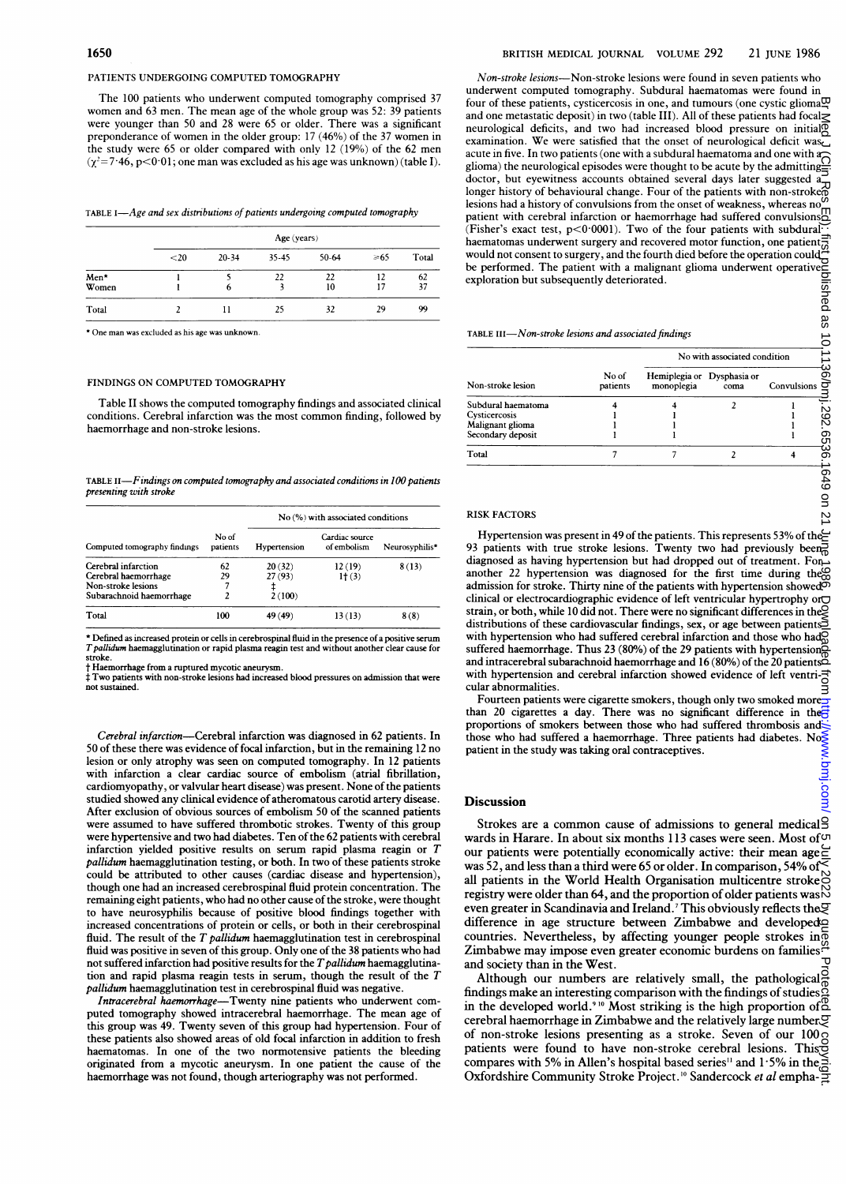#### PATIENTS UNDERGOING COMPUTED TOMOGRAPHY

The 100 patients who underwent computed tomography comprised 37 women and 63 men. The mean age of the whole group was 52: 39 patients were younger than 50 and 28 were 65 or older. There was a significant preponderance of women in the older group: <sup>17</sup> (46%) of the 37 women in the study were 65 or older compared with only <sup>12</sup> (19%) of the 62 men  $(\chi^2=7.46, p<0.01$ ; one man was excluded as his age was unknown) (table I).

| TABLE I—Age and sex distributions of patients undergoing computed tomography |  |  |
|------------------------------------------------------------------------------|--|--|
|                                                                              |  |  |

|               |      | Age (years) |       |          |           |          |
|---------------|------|-------------|-------|----------|-----------|----------|
|               | $20$ | $20 - 34$   | 35-45 | $50-64$  | $\geq 65$ | Total    |
| Men*<br>Women |      | b           | 22    | 22<br>10 | 12<br>17  | 62<br>37 |
| Total         |      | 11          | 25    | 32       | 29        | 99       |

\* One man was excluded as his age was unknown.

#### FINDINGS ON COMPUTED TOMOGRAPHY

Table II shows the computed tomography findings and associated clinical conditions. Cerebral infarction was the most common finding, followed by haemorrhage and non-stroke lesions.

TABLE II-Findings on computed tomography and associated conditions in 100 patients presenting with stroke

| Computed tomography findings |                   | No (%) with associated conditions |                               |                |
|------------------------------|-------------------|-----------------------------------|-------------------------------|----------------|
|                              | No of<br>patients | Hypertension                      | Cardiac source<br>of embolism | Neurosyphilis* |
| Cerebral infarction          | 62                | 20(32)                            | 12(19)                        | 8(13)          |
| Cerebral haemorrhage         | 29                | 27 (93)                           | $1+(3)$                       |                |
| Non-stroke lesions           |                   |                                   |                               |                |
| Subarachnoid haemorrhage     |                   | 2(100)                            |                               |                |
| Total                        | 100               | 49 (49)                           | 13(13)                        | 8(8)           |

\* Defined as increased protein or cells in cerebrospinal fluid in the presence of <sup>a</sup> positive serum TpaUfidum haemagglutination or rapid plasma reagin test and without another clear cause for stroke.

t Haemorrhage from <sup>a</sup> ruptured mycotic aneurysm.

<sup>f</sup> Two patients with non-stroke lesions had increased blood pressures on admission that were not sustained.

Cerebral infarction-Cerebral infarction was diagnosed in 62 patients. In 50 of these there was evidence of focal infarction, but in the remaining 12 no lesion or only atrophy was seen on computed tomography. In 12 patients with infarction a clear cardiac source of embolism (atrial fibrillation, cardiomyopathy, or valvular heart disease) was present. None of the patients studied showed any clinical evidence of atheromatous carotid artery disease. After exclusion of obvious sources of embolism 50 of the scanned patients were assumed to have suffered thrombotic strokes. Twenty of this group were hypertensive and two had diabetes. Ten of the 62 patients with cerebral infarction yielded positive results on serum rapid plasma reagin or T pallidum haemagglutination testing, or both. In two of these patients stroke could be attributed to other causes (cardiac disease and hypertension), though one had an increased cerebrospinal fluid protein concentration. The remaining eight patients, who had no other cause of the stroke, were thought to have neurosyphilis because of positive blood findings together with increased concentrations of protein or cells, or both in their cerebrospinal fluid. The result of the  $T$  pallidum haemagglutination test in cerebrospinal fluid was positive in seven of this group. Only one of the 38 patients who had not suffered infarction had positive results for the  $T$  pallidum haemagglutination and rapid plasma reagin tests in serum, though the result of the T pallidum haemagglutination test in cerebrospinal fluid was negative.

Intracerebral haemorrhage-Twenty nine patients who underwent computed tomography showed intracerebral haemorrhage. The mean age of this group was 49. Twenty seven of this group had hypertension. Four of these patients also showed areas of old focal infarction in addition to fresh haematomas. In one of the two normotensive patients the bleeding originated from a mycotic aneurysm. In one patient the cause of the haemorrhage was not found, though arteriography was not performed.

Non-stroke lesions-Non-stroke lesions were found in seven patients who underwent computed tomography. Subdural haematomas were found in four of these patients, cysticercosis in one, and tumours (one cystic glioma $\overline{\omega}$ and one metastatic deposit) in two (table III). All of these patients had focal neurological deficits, and two had increased blood pressure on initial<sup>®</sup> examination. We were satisfied that the onset of neurological deficit was acute in five. In two patients (one with a subdural haematoma and one with  $a_0$ glioma) the neurological episodes were thought to be acute by the admitting $\frac{1}{2}$ doctor, but eyewitness accounts obtained several days later suggested a longer history of behavioural change. Four of the patients with non-stroke lesions had a history of convulsions from the onset of weakness, whereas no patient with cerebral infarction or haemorrhage had suffered convulsions;<br>(Fisher's exact test, p<0·0001). Two of the four patients with subdural haematomas underwent surgery and recovered motor function, one patient would not consent to surgery, and the fourth died before the operation could be performed. The patient with <sup>a</sup> malignant glioma underwent operative exploration but subsequently deteriorated. on 6 July 2022 by guest Protected by copyright. Http://www.bmj.com/ Br Med J (Clin Res Ed): first published as 10.1136/bmj.com/ Dubished as 10.1136/bmj.com/ Dubished as 10.11367. Diginal as 10.1267 published as 10.1267 pub

#### TABLE  $III$ -Non-stroke lesions and associated findings

| Non-stroke lesion   |                   | No with associated condition |                      |             |
|---------------------|-------------------|------------------------------|----------------------|-------------|
|                     | No of<br>patients | Hemiplegia or<br>monoplegia  | Dysphasia or<br>coma | Convulsions |
| Subdural haematoma  |                   |                              |                      |             |
| Cysticercosis       |                   |                              |                      |             |
| Malignant glioma    |                   |                              |                      |             |
| Secondary deposit   |                   |                              |                      |             |
| Total               | 7                 | 7                            | $\mathfrak z$        |             |
|                     |                   |                              |                      |             |
|                     |                   |                              |                      |             |
|                     |                   |                              |                      |             |
| <b>RISK FACTORS</b> |                   |                              |                      |             |
|                     |                   |                              |                      |             |

88

pmj.com.

### RISK FACTORS

Hypertension was present in 49 of the patients. This represents 53% of the 93 patients with true stroke lesions. Twenty two had previously been $\frac{1}{0}$ diagnosed as having hypertension but had dropped out of treatment. For another 22 hypertension was diagnosed for the first time during the admission for stroke. Thirty nine of the patients with hypertension showed clinical or electrocardiographic evidence of left ventricular hypertrophy or strain, or both, while 10 did not. There were no significant differences in the $\log$ distributions of these cardiovascular findings, sex, or age between patients $\leq$ with hypertension who had suffered cerebral infarction and those who had $\mathcal{O}_0$ suffered haemorrhage. Thus 23 (80%) of the 29 patients with hypertension and intracerebral subarachnoid haemorrhage and 16 (80%) of the 20 patients with hypertension and cerebral infarction showed evidence of left ventricular abnormalities.

Fourteen patients were cigarette smokers, though only two smoked more than 20 cigarettes a day. There was no significant difference in the<sup>7</sup> proportions of smokers between those who had suffered thrombosis and those who had suffered a haemorrhage. Three patients had diabetes. No<sup>5</sup> patient in the study was taking oral contraceptives.

# **Discussion**

Strokes are a common cause of admissions to general medical $\frac{9}{2}$ wards in Harare. In about six months 113 cases were seen. Most of  $\circ$ our patients were potentially economically active: their mean age was 52, and less than <sup>a</sup> third were 65 or older. In comparison, 54% of all patients in the World Health Organisation multicentre stroke registry were older than 64, and the proportion of older patients was  $\aleph$ even greater in Scandinavia and Ireland.<sup>7</sup> This obviously reflects the  $g$ difference in age structure between Zimbabwe and developed countries. Nevertheless, by affecting younger people strokes in  $\overline{g}$ Zimbabwe may impose even greater economic burdens on families.<sup>22</sup><br>and expiration in the West and society than in the West.

Although our numbers are relatively small, the pathological  $\frac{3}{6}$ findings make an interesting comparison with the findings of studies in the developed world.<sup>910</sup> Most striking is the high proportion of <sup>8</sup> cerebral haemorrhage in Zimbabwe and the relatively large number  $\mathfrak S$ of non-stroke lesions presenting as a stroke. Seven of our  $100<sub>o</sub>$ patients were found to have non-stroke cerebral lesions. This compares with 5% in Allen's hospital based series<sup>11</sup> and  $1.5\%$  in the Oxfordshire Community Stroke Project.'<sup>0</sup> Sandercock *et al* empha